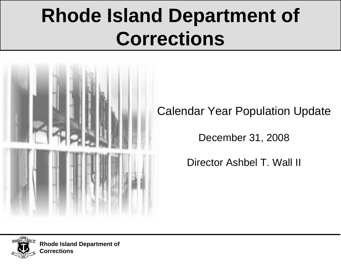# **Rhode Island Department of Corrections**



Calendar Year Population Update

December 31, 2008

Director Ashbel T. Wall II



**Rhode Island Department of Corrections**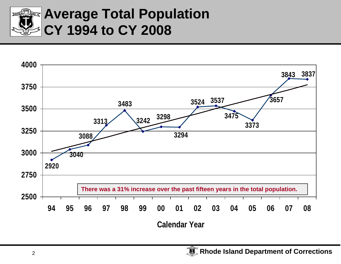

# **Average Total Population CY 1994 to CY 2008**

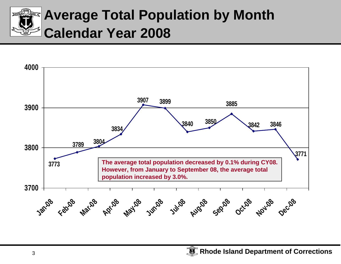

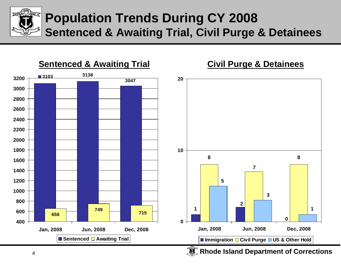

#### **Population Trends During CY 2008 Sentenced & Awaiting Trial, Civil Purge & Detainees**

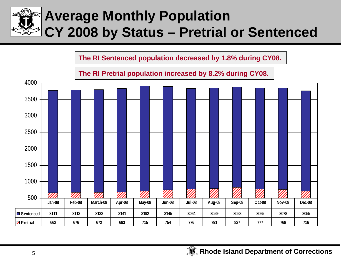

**The RI Sentenced population decreased by 1.8% during CY08.**

**The RI Pretrial population increased by 8.2% during CY08.**

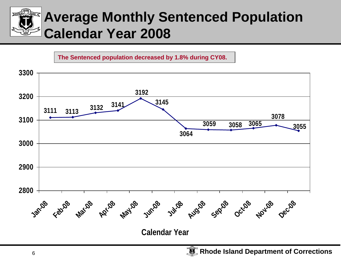

**The Sentenced population decreased by 1.8% during CY08.**

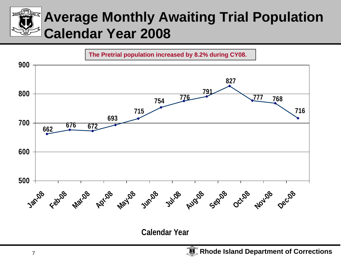# **Average Monthly Awaiting Trial Population Calendar Year 2008**



**Calendar Year**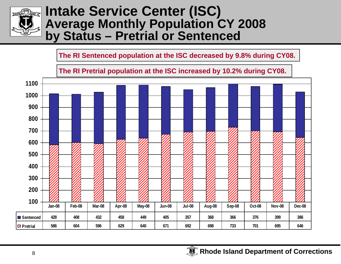

#### **Intake Service Center (ISC) Average Monthly Population CY 2008 by Status – Pretrial or Sentenced**

#### **The RI Sentenced population at the ISC decreased by 9.8% during CY08.**

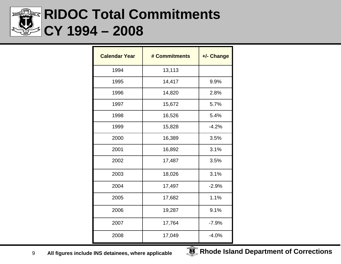

# **RIDOC Total Commitments CY 1994 – 2008**

| <b>Calendar Year</b> | # Commitments | +/- Change |
|----------------------|---------------|------------|
| 1994                 | 13,113        |            |
| 1995                 | 14,417        | 9.9%       |
| 1996                 | 14,820        | 2.8%       |
| 1997                 | 15,672        | 5.7%       |
| 1998                 | 16,526        | 5.4%       |
| 1999                 | 15,828        | $-4.2%$    |
| 2000                 | 16,389        | 3.5%       |
| 2001                 | 16,892        | 3.1%       |
| 2002                 | 17,487        | 3.5%       |
| 2003                 | 18,026        | 3.1%       |
| 2004                 | 17,497        | $-2.9%$    |
| 2005                 | 17,682        | 1.1%       |
| 2006                 | 19,287        | 9.1%       |
| 2007                 | 17,764        | $-7.9%$    |
| 2008                 | 17,049        | $-4.0%$    |

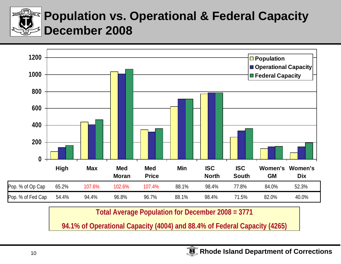

#### **Population vs. Operational & Federal Capacity December 2008**



**Total Average Population for December 2008 = 3771**

**94.1% of Operational Capacity (4004) and 88.4% of Federal Capacity (4265)**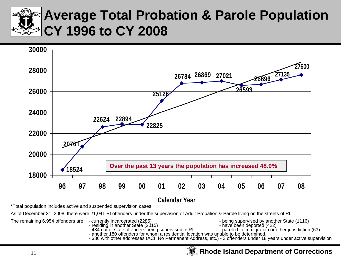

# **Average Total Probation & Parole Population CY 1996 to CY 2008**



**Calendar Year**

\*Total population includes active and suspended supervision cases.

As of December 31, 2008, there were 21,041 RI offenders under the supervision of Adult Probation & Parole living on the streets of RI.

The remaining 6,954 offenders are: - currently incarcerated (2285)<br>residing in another State (2015) - have been deported (422)

- 
- residing in another State (2015) have been deported (422) 484 out of state offenders being supervised in RI paroled to immigration or other jurisdiction (63)
- -
	-
- 
- another 180 offenders for whom a residential location was unable to be determined. 386 with other addresses (ACI, No Permanent Address, etc.) 3 offenders under 18 years under active supervision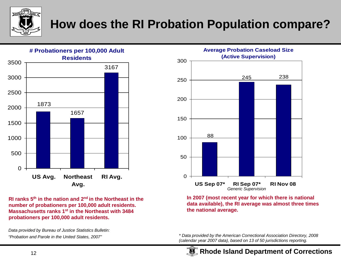

#### **How does the RI Probation Population compare?**



**RI ranks 5th in the nation and 2nd in the Northeast in the number of probationers per 100,000 adult residents. Massachusetts ranks 1st in the Northeast with 3484 probationers per 100,000 adult residents.** 

*Data provided by Bureau of Justice Statistics Bulletin: "Probation and Parole in the United States, 2007"*



**In 2007 (most recent year for which there is national data available), the RI average was almost three times the national average.** 

*\* Data provided by the American Correctional Association Directory, 2008 (calendar year 2007 data), based on 13 of 50 jurisdictions reporting.*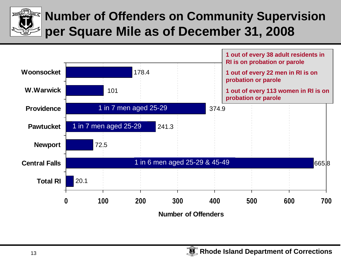

### **Number of Offenders on Community Supervision per Square Mile as of December 31, 2008**

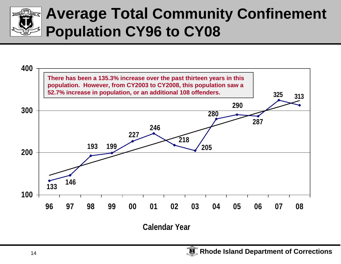

# **Average Total Community Confinement Population CY96 to CY08**